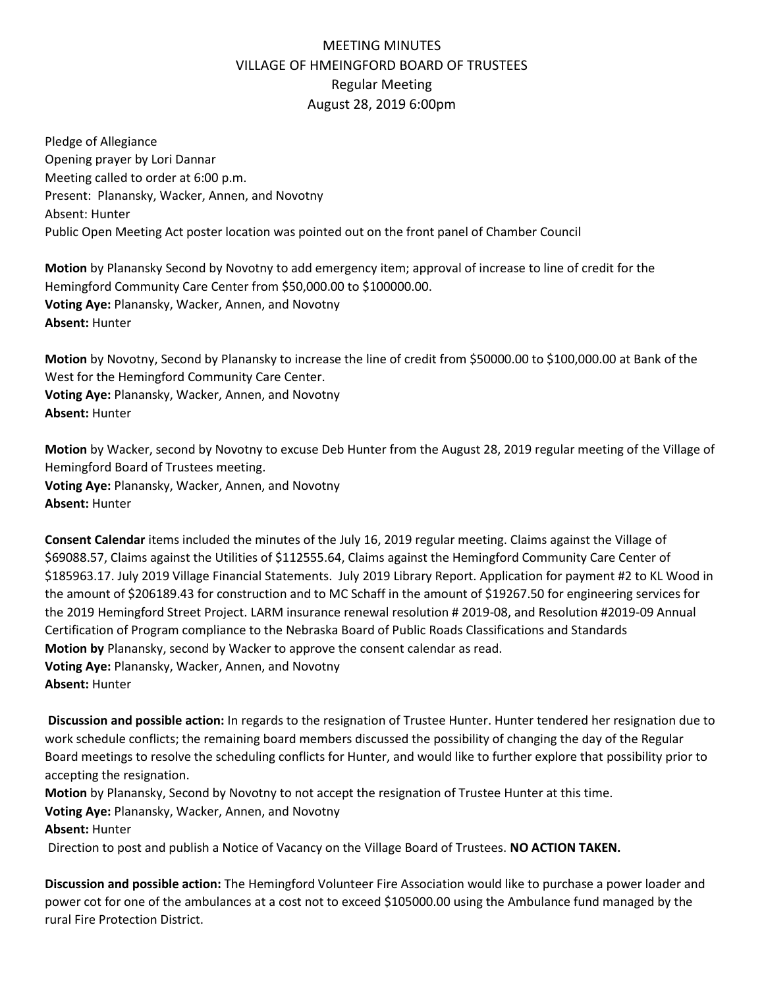## MEETING MINUTES VILLAGE OF HMEINGFORD BOARD OF TRUSTEES Regular Meeting August 28, 2019 6:00pm

Pledge of Allegiance Opening prayer by Lori Dannar Meeting called to order at 6:00 p.m. Present: Planansky, Wacker, Annen, and Novotny Absent: Hunter Public Open Meeting Act poster location was pointed out on the front panel of Chamber Council

**Motion** by Planansky Second by Novotny to add emergency item; approval of increase to line of credit for the Hemingford Community Care Center from \$50,000.00 to \$100000.00. **Voting Aye:** Planansky, Wacker, Annen, and Novotny **Absent:** Hunter

**Motion** by Novotny, Second by Planansky to increase the line of credit from \$50000.00 to \$100,000.00 at Bank of the West for the Hemingford Community Care Center. **Voting Aye:** Planansky, Wacker, Annen, and Novotny **Absent:** Hunter

**Motion** by Wacker, second by Novotny to excuse Deb Hunter from the August 28, 2019 regular meeting of the Village of Hemingford Board of Trustees meeting. **Voting Aye:** Planansky, Wacker, Annen, and Novotny **Absent:** Hunter

**Consent Calendar** items included the minutes of the July 16, 2019 regular meeting. Claims against the Village of \$69088.57, Claims against the Utilities of \$112555.64, Claims against the Hemingford Community Care Center of \$185963.17. July 2019 Village Financial Statements. July 2019 Library Report. Application for payment #2 to KL Wood in the amount of \$206189.43 for construction and to MC Schaff in the amount of \$19267.50 for engineering services for the 2019 Hemingford Street Project. LARM insurance renewal resolution # 2019-08, and Resolution #2019-09 Annual Certification of Program compliance to the Nebraska Board of Public Roads Classifications and Standards **Motion by** Planansky, second by Wacker to approve the consent calendar as read. **Voting Aye:** Planansky, Wacker, Annen, and Novotny **Absent:** Hunter

**Discussion and possible action:** In regards to the resignation of Trustee Hunter. Hunter tendered her resignation due to work schedule conflicts; the remaining board members discussed the possibility of changing the day of the Regular Board meetings to resolve the scheduling conflicts for Hunter, and would like to further explore that possibility prior to accepting the resignation.

**Motion** by Planansky, Second by Novotny to not accept the resignation of Trustee Hunter at this time. **Voting Aye:** Planansky, Wacker, Annen, and Novotny **Absent:** Hunter

Direction to post and publish a Notice of Vacancy on the Village Board of Trustees. **NO ACTION TAKEN.**

**Discussion and possible action:** The Hemingford Volunteer Fire Association would like to purchase a power loader and power cot for one of the ambulances at a cost not to exceed \$105000.00 using the Ambulance fund managed by the rural Fire Protection District.